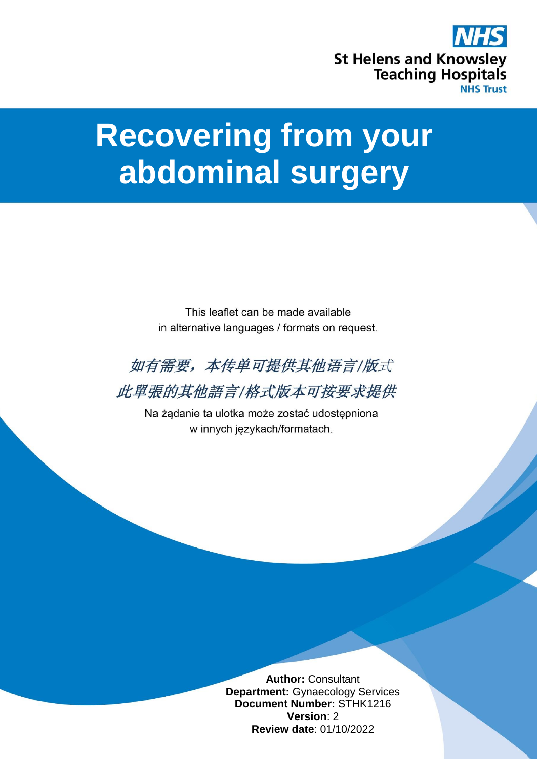

## **Recovering from your abdominal surgery**

This leaflet can be made available in alternative languages / formats on request.



此單張的其他語言/格式版本可按要求提供

Na żądanie ta ulotka może zostać udostępniona w innych językach/formatach.

> **Author:** Consultant **Department:** Gynaecology Services **Document Number:** STHK1216 **Version**: 2 **Review date**: 01/10/2022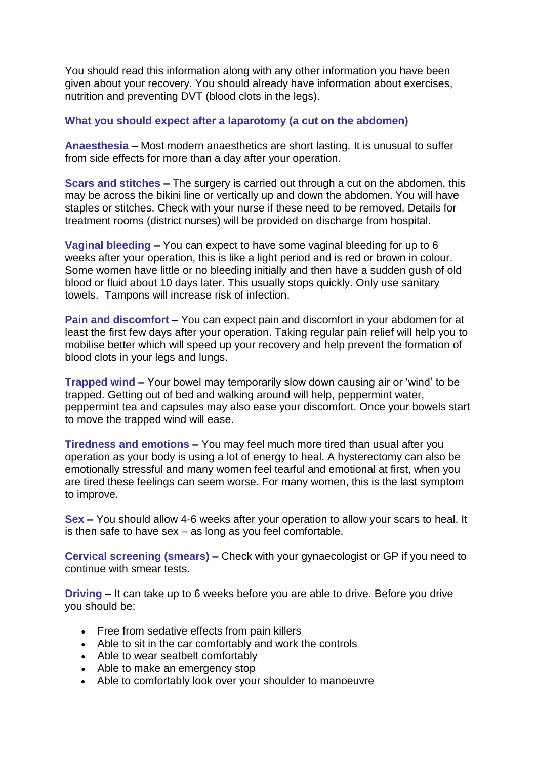You should read this information along with any other information you have been given about your recovery. You should already have information about exercises, nutrition and preventing DVT (blood clots in the legs).

## **What you should expect after a laparotomy (a cut on the abdomen)**

**Anaesthesia –** Most modern anaesthetics are short lasting. It is unusual to suffer from side effects for more than a day after your operation.

**Scars and stitches –** The surgery is carried out through a cut on the abdomen, this may be across the bikini line or vertically up and down the abdomen. You will have staples or stitches. Check with your nurse if these need to be removed. Details for treatment rooms (district nurses) will be provided on discharge from hospital.

**Vaginal bleeding –** You can expect to have some vaginal bleeding for up to 6 weeks after your operation, this is like a light period and is red or brown in colour. Some women have little or no bleeding initially and then have a sudden gush of old blood or fluid about 10 days later. This usually stops quickly. Only use sanitary towels. Tampons will increase risk of infection.

**Pain and discomfort –** You can expect pain and discomfort in your abdomen for at least the first few days after your operation. Taking regular pain relief will help you to mobilise better which will speed up your recovery and help prevent the formation of blood clots in your legs and lungs.

**Trapped wind –** Your bowel may temporarily slow down causing air or 'wind' to be trapped. Getting out of bed and walking around will help, peppermint water, peppermint tea and capsules may also ease your discomfort. Once your bowels start to move the trapped wind will ease.

**Tiredness and emotions –** You may feel much more tired than usual after you operation as your body is using a lot of energy to heal. A hysterectomy can also be emotionally stressful and many women feel tearful and emotional at first, when you are tired these feelings can seem worse. For many women, this is the last symptom to improve.

**Sex –** You should allow 4-6 weeks after your operation to allow your scars to heal. It is then safe to have sex – as long as you feel comfortable.

**Cervical screening (smears) –** Check with your gynaecologist or GP if you need to continue with smear tests.

**Driving –** It can take up to 6 weeks before you are able to drive. Before you drive you should be:

- Free from sedative effects from pain killers
- Able to sit in the car comfortably and work the controls
- Able to wear seatbelt comfortably
- Able to make an emergency stop
- Able to comfortably look over your shoulder to manoeuvre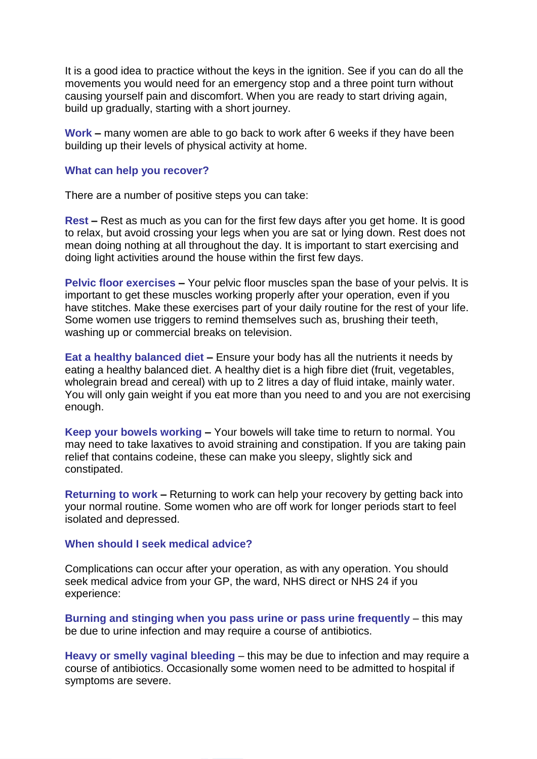It is a good idea to practice without the keys in the ignition. See if you can do all the movements you would need for an emergency stop and a three point turn without causing yourself pain and discomfort. When you are ready to start driving again, build up gradually, starting with a short journey.

**Work –** many women are able to go back to work after 6 weeks if they have been building up their levels of physical activity at home.

## **What can help you recover?**

There are a number of positive steps you can take:

**Rest –** Rest as much as you can for the first few days after you get home. It is good to relax, but avoid crossing your legs when you are sat or lying down. Rest does not mean doing nothing at all throughout the day. It is important to start exercising and doing light activities around the house within the first few days.

**Pelvic floor exercises –** Your pelvic floor muscles span the base of your pelvis. It is important to get these muscles working properly after your operation, even if you have stitches. Make these exercises part of your daily routine for the rest of your life. Some women use triggers to remind themselves such as, brushing their teeth, washing up or commercial breaks on television.

**Eat a healthy balanced diet –** Ensure your body has all the nutrients it needs by eating a healthy balanced diet. A healthy diet is a high fibre diet (fruit, vegetables, wholegrain bread and cereal) with up to 2 litres a day of fluid intake, mainly water. You will only gain weight if you eat more than you need to and you are not exercising enough.

**Keep your bowels working –** Your bowels will take time to return to normal. You may need to take laxatives to avoid straining and constipation. If you are taking pain relief that contains codeine, these can make you sleepy, slightly sick and constipated.

**Returning to work –** Returning to work can help your recovery by getting back into your normal routine. Some women who are off work for longer periods start to feel isolated and depressed.

## **When should I seek medical advice?**

Complications can occur after your operation, as with any operation. You should seek medical advice from your GP, the ward, NHS direct or NHS 24 if you experience:

**Burning and stinging when you pass urine or pass urine frequently** – this may be due to urine infection and may require a course of antibiotics.

**Heavy or smelly vaginal bleeding** – this may be due to infection and may require a course of antibiotics. Occasionally some women need to be admitted to hospital if symptoms are severe.